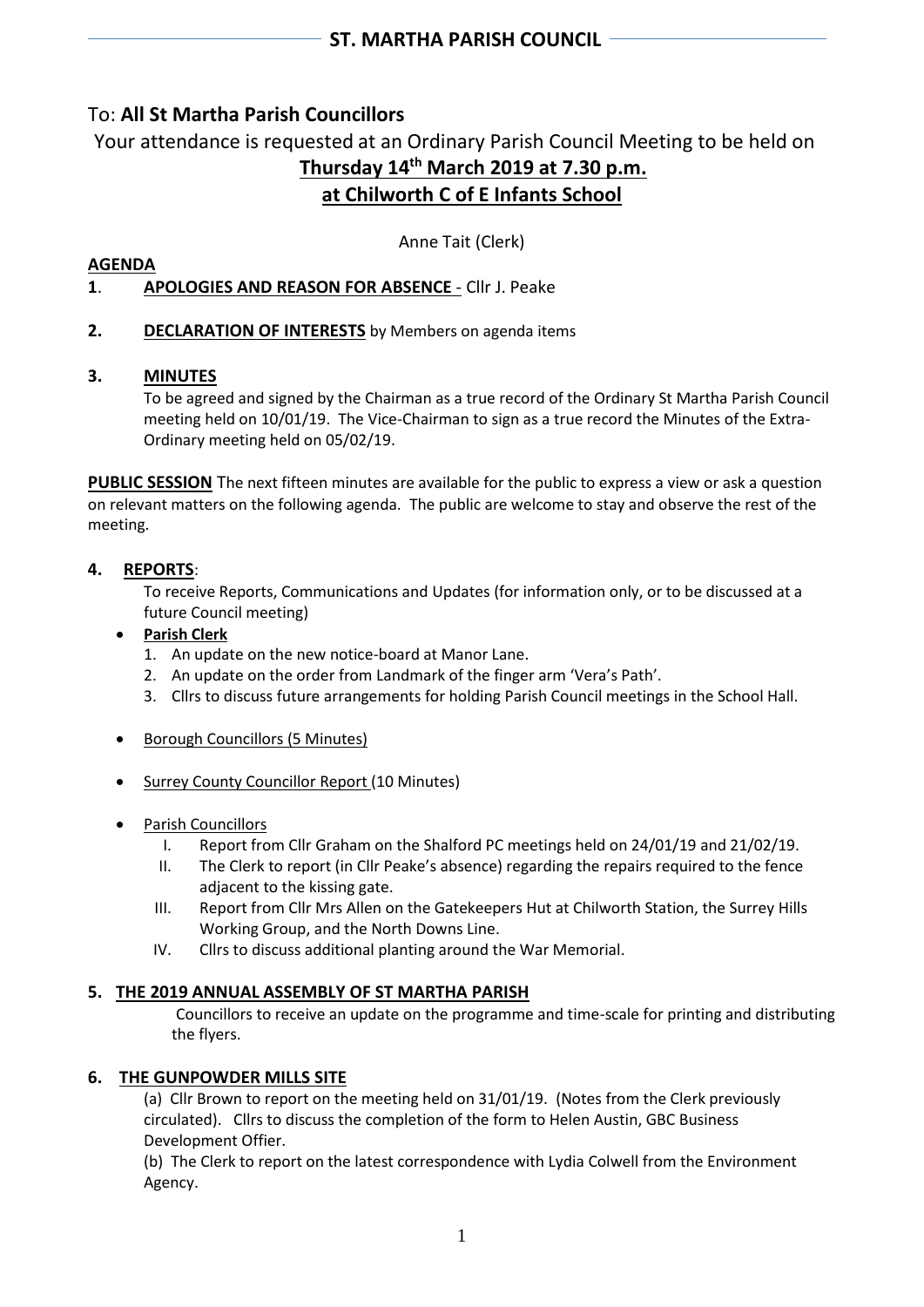# To: **All St Martha Parish Councillors**

Your attendance is requested at an Ordinary Parish Council Meeting to be held on **Thursday 14 th March 2019 at 7.30 p.m. at Chilworth C of E Infants School**

Anne Tait (Clerk)

#### **AGENDA 1**. **APOLOGIES AND REASON FOR ABSENCE** - Cllr J. Peake

**2. DECLARATION OF INTERESTS** by Members on agenda items

# **3. MINUTES**

To be agreed and signed by the Chairman as a true record of the Ordinary St Martha Parish Council meeting held on 10/01/19. The Vice-Chairman to sign as a true record the Minutes of the Extra-Ordinary meeting held on 05/02/19.

**PUBLIC SESSION** The next fifteen minutes are available for the public to express a view or ask a question on relevant matters on the following agenda. The public are welcome to stay and observe the rest of the meeting.

# **4. REPORTS**:

To receive Reports, Communications and Updates (for information only, or to be discussed at a future Council meeting)

# • **Parish Clerk**

- 1. An update on the new notice-board at Manor Lane.
- 2. An update on the order from Landmark of the finger arm 'Vera's Path'.
- 3. Cllrs to discuss future arrangements for holding Parish Council meetings in the School Hall.
- Borough Councillors (5 Minutes)
- Surrey County Councillor Report (10 Minutes)
- Parish Councillors
	- I. Report from Cllr Graham on the Shalford PC meetings held on 24/01/19 and 21/02/19.
	- II. The Clerk to report (in Cllr Peake's absence) regarding the repairs required to the fence adjacent to the kissing gate.
	- III. Report from Cllr Mrs Allen on the Gatekeepers Hut at Chilworth Station, the Surrey Hills Working Group, and the North Downs Line.
	- IV. Cllrs to discuss additional planting around the War Memorial.

# **5. THE 2019 ANNUAL ASSEMBLY OF ST MARTHA PARISH**

Councillors to receive an update on the programme and time-scale for printing and distributing the flyers.

# **6. THE GUNPOWDER MILLS SITE**

(a) Cllr Brown to report on the meeting held on 31/01/19. (Notes from the Clerk previously circulated). Cllrs to discuss the completion of the form to Helen Austin, GBC Business Development Offier.

(b)The Clerk to report on the latest correspondence with Lydia Colwell from the Environment Agency.